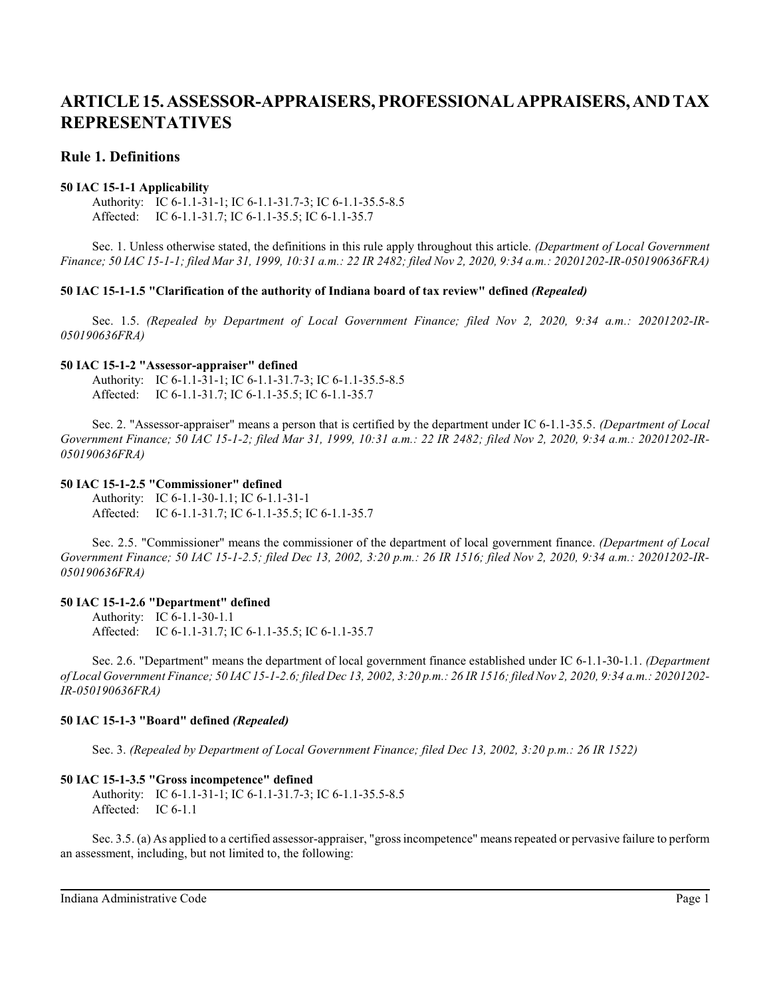# **Rule 1. Definitions**

### **50 IAC 15-1-1 Applicability**

Authority: IC 6-1.1-31-1; IC 6-1.1-31.7-3; IC 6-1.1-35.5-8.5 Affected: IC 6-1.1-31.7; IC 6-1.1-35.5; IC 6-1.1-35.7

Sec. 1. Unless otherwise stated, the definitions in this rule apply throughout this article. *(Department of Local Government Finance; 50 IAC 15-1-1; filed Mar 31, 1999, 10:31 a.m.: 22 IR 2482; filed Nov 2, 2020, 9:34 a.m.: 20201202-IR-050190636FRA)*

#### **50 IAC 15-1-1.5 "Clarification of the authority of Indiana board of tax review" defined** *(Repealed)*

Sec. 1.5. *(Repealed by Department of Local Government Finance; filed Nov 2, 2020, 9:34 a.m.: 20201202-IR-050190636FRA)*

#### **50 IAC 15-1-2 "Assessor-appraiser" defined**

Authority: IC 6-1.1-31-1; IC 6-1.1-31.7-3; IC 6-1.1-35.5-8.5 Affected: IC 6-1.1-31.7; IC 6-1.1-35.5; IC 6-1.1-35.7

Sec. 2. "Assessor-appraiser" means a person that is certified by the department under IC 6-1.1-35.5. *(Department of Local Government Finance; 50 IAC 15-1-2; filed Mar 31, 1999, 10:31 a.m.: 22 IR 2482; filed Nov 2, 2020, 9:34 a.m.: 20201202-IR-050190636FRA)*

### **50 IAC 15-1-2.5 "Commissioner" defined**

Authority: IC 6-1.1-30-1.1; IC 6-1.1-31-1 Affected: IC 6-1.1-31.7; IC 6-1.1-35.5; IC 6-1.1-35.7

Sec. 2.5. "Commissioner" means the commissioner of the department of local government finance. *(Department of Local Government Finance; 50 IAC 15-1-2.5; filed Dec 13, 2002, 3:20 p.m.: 26 IR 1516; filed Nov 2, 2020, 9:34 a.m.: 20201202-IR-050190636FRA)*

#### **50 IAC 15-1-2.6 "Department" defined**

Authority: IC 6-1.1-30-1.1 Affected: IC 6-1.1-31.7; IC 6-1.1-35.5; IC 6-1.1-35.7

Sec. 2.6. "Department" means the department of local government finance established under IC 6-1.1-30-1.1. *(Department of Local Government Finance; 50 IAC 15-1-2.6; filed Dec 13, 2002, 3:20 p.m.: 26 IR 1516; filed Nov 2, 2020, 9:34 a.m.: 20201202- IR-050190636FRA)*

## **50 IAC 15-1-3 "Board" defined** *(Repealed)*

Sec. 3. *(Repealed by Department of Local Government Finance; filed Dec 13, 2002, 3:20 p.m.: 26 IR 1522)*

## **50 IAC 15-1-3.5 "Gross incompetence" defined**

Authority: IC 6-1.1-31-1; IC 6-1.1-31.7-3; IC 6-1.1-35.5-8.5 Affected: IC 6-1.1

Sec. 3.5. (a) As applied to a certified assessor-appraiser, "gross incompetence" means repeated or pervasive failure to perform an assessment, including, but not limited to, the following: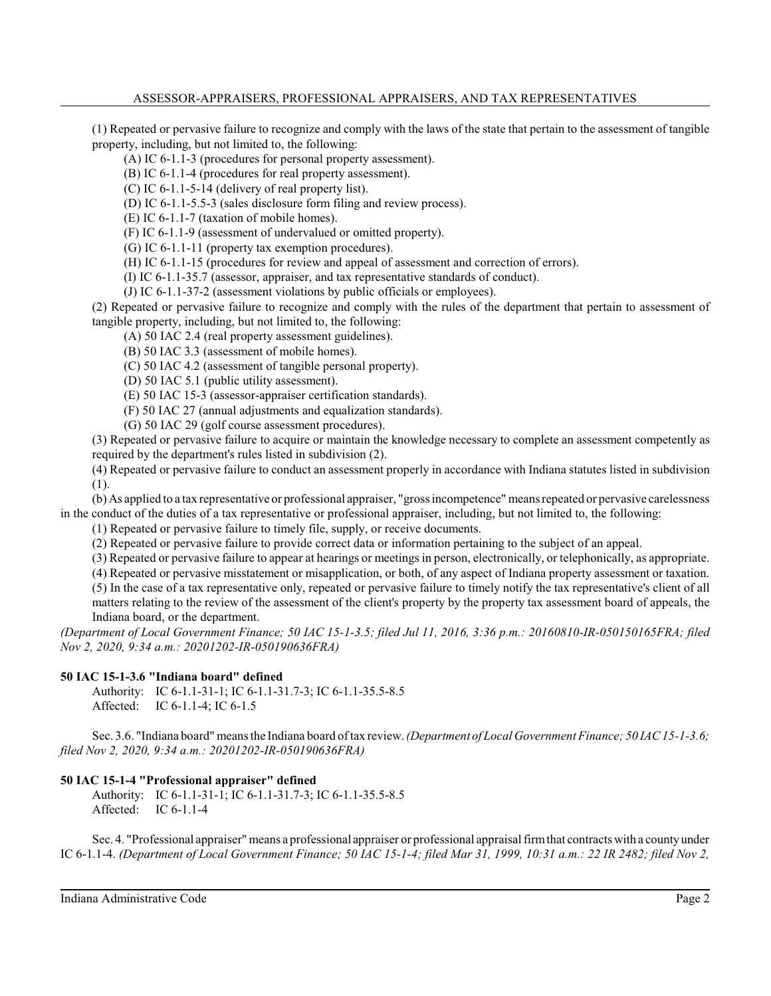(1) Repeated or pervasive failure to recognize and comply with the laws of the state that pertain to the assessment of tangible property, including, but not limited to, the following:

(A) IC 6-1.1-3 (procedures for personal property assessment).

(B) IC 6-1.1-4 (procedures for real property assessment).

(C) IC 6-1.1-5-14 (delivery of real property list).

(D) IC 6-1.1-5.5-3 (sales disclosure form filing and review process).

(E) IC 6-1.1-7 (taxation of mobile homes).

(F) IC 6-1.1-9 (assessment of undervalued or omitted property).

(G) IC 6-1.1-11 (property tax exemption procedures).

(H) IC 6-1.1-15 (procedures for review and appeal of assessment and correction of errors).

(I) IC 6-1.1-35.7 (assessor, appraiser, and tax representative standards of conduct).

(J) IC 6-1.1-37-2 (assessment violations by public officials or employees).

(2) Repeated or pervasive failure to recognize and comply with the rules of the department that pertain to assessment of tangible property, including, but not limited to, the following:

(A) 50 IAC 2.4 (real property assessment guidelines).

(B) 50 IAC 3.3 (assessment of mobile homes).

(C) 50 IAC 4.2 (assessment of tangible personal property).

(D) 50 IAC 5.1 (public utility assessment).

(E) 50 IAC 15-3 (assessor-appraiser certification standards).

(F) 50 IAC 27 (annual adjustments and equalization standards).

(G) 50 IAC 29 (golf course assessment procedures).

(3) Repeated or pervasive failure to acquire or maintain the knowledge necessary to complete an assessment competently as required by the department's rules listed in subdivision (2).

(4) Repeated or pervasive failure to conduct an assessment properly in accordance with Indiana statutes listed in subdivision (1).

(b) As applied to a tax representative or professional appraiser, "gross incompetence" means repeated or pervasive carelessness in the conduct of the duties of a tax representative or professional appraiser, including, but not limited to, the following:

(1) Repeated or pervasive failure to timely file, supply, or receive documents.

(2) Repeated or pervasive failure to provide correct data or information pertaining to the subject of an appeal.

(3) Repeated or pervasive failure to appear at hearings or meetings in person, electronically, or telephonically, as appropriate.

(4) Repeated or pervasive misstatement or misapplication, or both, of any aspect of Indiana property assessment or taxation.

(5) In the case of a tax representative only, repeated or pervasive failure to timely notify the tax representative's client of all matters relating to the review of the assessment of the client's property by the property tax assessment board of appeals, the Indiana board, or the department.

*(Department of Local Government Finance; 50 IAC 15-1-3.5; filed Jul 11, 2016, 3:36 p.m.: 20160810-IR-050150165FRA; filed Nov 2, 2020, 9:34 a.m.: 20201202-IR-050190636FRA)*

#### **50 IAC 15-1-3.6 "Indiana board" defined**

Authority: IC 6-1.1-31-1; IC 6-1.1-31.7-3; IC 6-1.1-35.5-8.5 Affected: IC 6-1.1-4; IC 6-1.5

Sec. 3.6. "Indiana board" means the Indiana board of tax review. *(Department of Local Government Finance; 50 IAC 15-1-3.6; filed Nov 2, 2020, 9:34 a.m.: 20201202-IR-050190636FRA)*

## **50 IAC 15-1-4 "Professional appraiser" defined**

Authority: IC 6-1.1-31-1; IC 6-1.1-31.7-3; IC 6-1.1-35.5-8.5 Affected: IC 6-1.1-4

Sec. 4. "Professional appraiser" means a professional appraiser or professional appraisal firmthat contracts with a countyunder IC 6-1.1-4. *(Department of Local Government Finance; 50 IAC 15-1-4; filed Mar 31, 1999, 10:31 a.m.: 22 IR 2482; filed Nov 2,*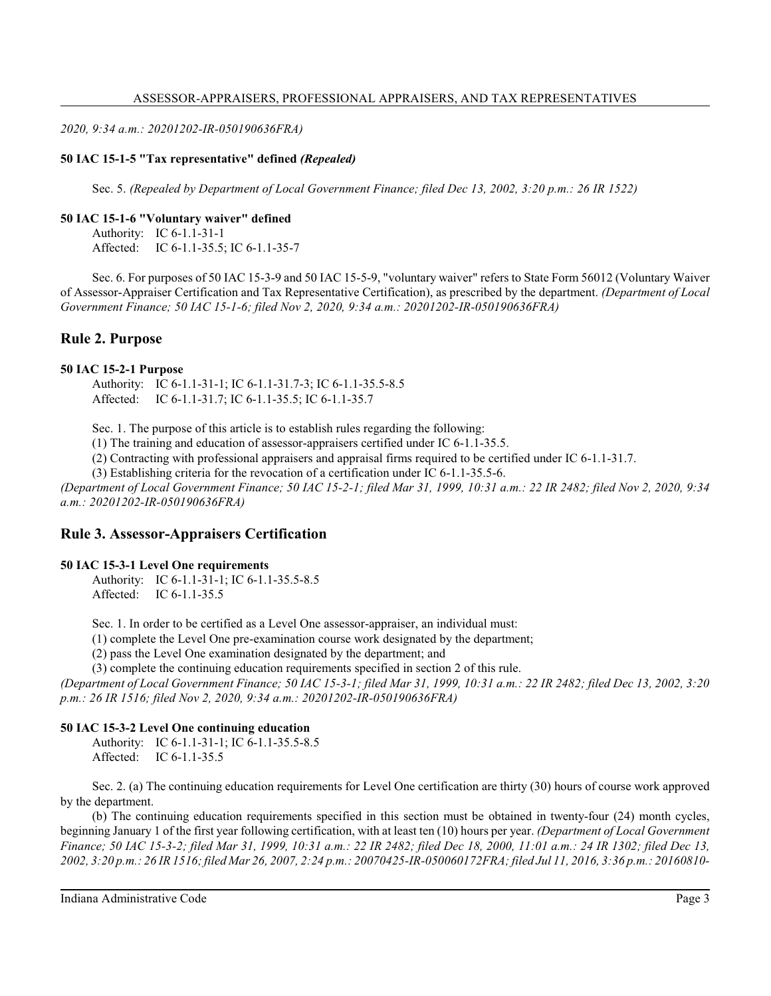*2020, 9:34 a.m.: 20201202-IR-050190636FRA)*

# **50 IAC 15-1-5 "Tax representative" defined** *(Repealed)*

Sec. 5. *(Repealed by Department of Local Government Finance; filed Dec 13, 2002, 3:20 p.m.: 26 IR 1522)*

# **50 IAC 15-1-6 "Voluntary waiver" defined**

Authority: IC 6-1.1-31-1 Affected: IC 6-1.1-35.5; IC 6-1.1-35-7

Sec. 6. For purposes of 50 IAC 15-3-9 and 50 IAC 15-5-9, "voluntary waiver" refers to State Form 56012 (Voluntary Waiver of Assessor-Appraiser Certification and Tax Representative Certification), as prescribed by the department. *(Department of Local Government Finance; 50 IAC 15-1-6; filed Nov 2, 2020, 9:34 a.m.: 20201202-IR-050190636FRA)*

# **Rule 2. Purpose**

# **50 IAC 15-2-1 Purpose**

Authority: IC 6-1.1-31-1; IC 6-1.1-31.7-3; IC 6-1.1-35.5-8.5 Affected: IC 6-1.1-31.7; IC 6-1.1-35.5; IC 6-1.1-35.7

Sec. 1. The purpose of this article is to establish rules regarding the following:

(1) The training and education of assessor-appraisers certified under IC 6-1.1-35.5.

(2) Contracting with professional appraisers and appraisal firms required to be certified under IC 6-1.1-31.7.

(3) Establishing criteria for the revocation of a certification under IC 6-1.1-35.5-6.

*(Department of Local Government Finance; 50 IAC 15-2-1; filed Mar 31, 1999, 10:31 a.m.: 22 IR 2482; filed Nov 2, 2020, 9:34 a.m.: 20201202-IR-050190636FRA)*

# **Rule 3. Assessor-Appraisers Certification**

## **50 IAC 15-3-1 Level One requirements**

Authority: IC 6-1.1-31-1; IC 6-1.1-35.5-8.5 Affected: IC 6-1.1-35.5

Sec. 1. In order to be certified as a Level One assessor-appraiser, an individual must:

(1) complete the Level One pre-examination course work designated by the department;

(2) pass the Level One examination designated by the department; and

(3) complete the continuing education requirements specified in section 2 of this rule.

*(Department of Local Government Finance; 50 IAC 15-3-1; filed Mar 31, 1999, 10:31 a.m.: 22 IR 2482; filed Dec 13, 2002, 3:20 p.m.: 26 IR 1516; filed Nov 2, 2020, 9:34 a.m.: 20201202-IR-050190636FRA)*

# **50 IAC 15-3-2 Level One continuing education**

Authority: IC 6-1.1-31-1; IC 6-1.1-35.5-8.5 Affected: IC 6-1.1-35.5

Sec. 2. (a) The continuing education requirements for Level One certification are thirty (30) hours of course work approved by the department.

(b) The continuing education requirements specified in this section must be obtained in twenty-four (24) month cycles, beginning January 1 of the first year following certification, with at least ten (10) hours per year. *(Department of Local Government Finance; 50 IAC 15-3-2; filed Mar 31, 1999, 10:31 a.m.: 22 IR 2482; filed Dec 18, 2000, 11:01 a.m.: 24 IR 1302; filed Dec 13, 2002, 3:20 p.m.: 26 IR 1516; filed Mar 26, 2007, 2:24 p.m.: 20070425-IR-050060172FRA; filed Jul 11, 2016, 3:36 p.m.: 20160810-*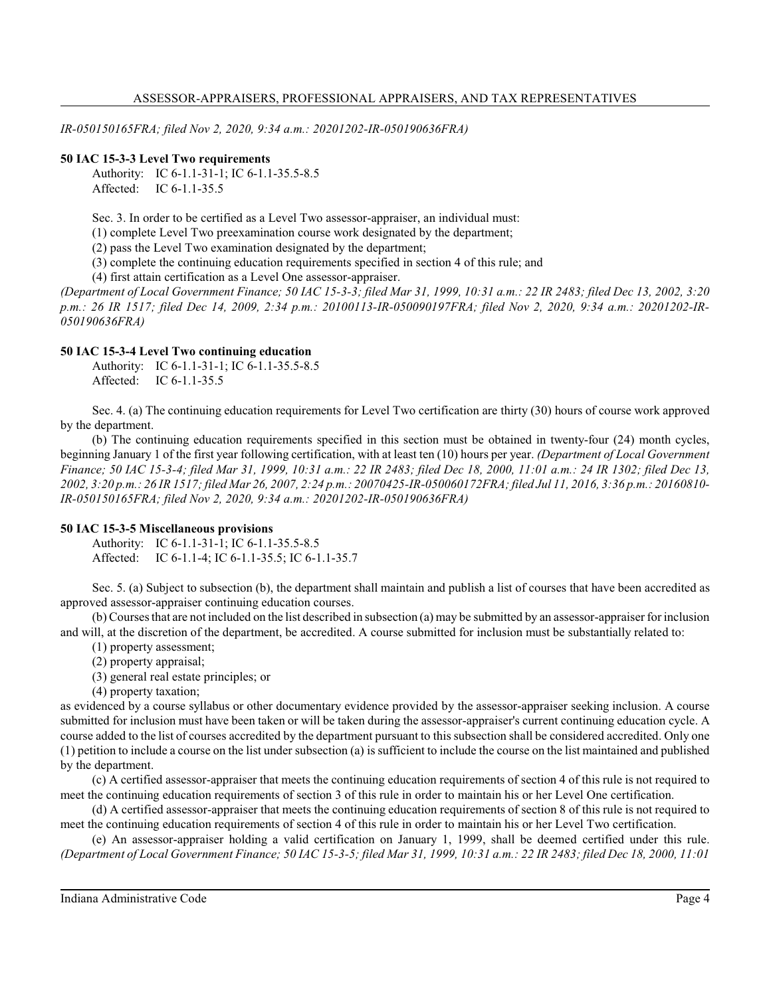*IR-050150165FRA; filed Nov 2, 2020, 9:34 a.m.: 20201202-IR-050190636FRA)*

### **50 IAC 15-3-3 Level Two requirements**

Authority: IC 6-1.1-31-1; IC 6-1.1-35.5-8.5 Affected: IC 6-1.1-35.5

Sec. 3. In order to be certified as a Level Two assessor-appraiser, an individual must:

(1) complete Level Two preexamination course work designated by the department;

(2) pass the Level Two examination designated by the department;

(3) complete the continuing education requirements specified in section 4 of this rule; and

(4) first attain certification as a Level One assessor-appraiser.

*(Department of Local Government Finance; 50 IAC 15-3-3; filed Mar 31, 1999, 10:31 a.m.: 22 IR 2483; filed Dec 13, 2002, 3:20 p.m.: 26 IR 1517; filed Dec 14, 2009, 2:34 p.m.: 20100113-IR-050090197FRA; filed Nov 2, 2020, 9:34 a.m.: 20201202-IR-050190636FRA)*

#### **50 IAC 15-3-4 Level Two continuing education**

Authority: IC 6-1.1-31-1; IC 6-1.1-35.5-8.5 Affected: IC 6-1.1-35.5

Sec. 4. (a) The continuing education requirements for Level Two certification are thirty (30) hours of course work approved by the department.

(b) The continuing education requirements specified in this section must be obtained in twenty-four (24) month cycles, beginning January 1 of the first year following certification, with at least ten (10) hours per year. *(Department of Local Government Finance; 50 IAC 15-3-4; filed Mar 31, 1999, 10:31 a.m.: 22 IR 2483; filed Dec 18, 2000, 11:01 a.m.: 24 IR 1302; filed Dec 13, 2002, 3:20 p.m.: 26 IR 1517; filed Mar 26, 2007, 2:24 p.m.: 20070425-IR-050060172FRA; filed Jul 11, 2016, 3:36 p.m.: 20160810- IR-050150165FRA; filed Nov 2, 2020, 9:34 a.m.: 20201202-IR-050190636FRA)*

#### **50 IAC 15-3-5 Miscellaneous provisions**

Authority: IC 6-1.1-31-1; IC 6-1.1-35.5-8.5 Affected: IC 6-1.1-4; IC 6-1.1-35.5; IC 6-1.1-35.7

Sec. 5. (a) Subject to subsection (b), the department shall maintain and publish a list of courses that have been accredited as approved assessor-appraiser continuing education courses.

(b) Courses that are not included on the list described in subsection (a) may be submitted by an assessor-appraiser for inclusion and will, at the discretion of the department, be accredited. A course submitted for inclusion must be substantially related to:

(1) property assessment;

(2) property appraisal;

(3) general real estate principles; or

(4) property taxation;

as evidenced by a course syllabus or other documentary evidence provided by the assessor-appraiser seeking inclusion. A course submitted for inclusion must have been taken or will be taken during the assessor-appraiser's current continuing education cycle. A course added to the list of courses accredited by the department pursuant to thissubsection shall be considered accredited. Only one (1) petition to include a course on the list under subsection (a) is sufficient to include the course on the list maintained and published by the department.

(c) A certified assessor-appraiser that meets the continuing education requirements of section 4 of this rule is not required to meet the continuing education requirements of section 3 of this rule in order to maintain his or her Level One certification.

(d) A certified assessor-appraiser that meets the continuing education requirements of section 8 of this rule is not required to meet the continuing education requirements of section 4 of this rule in order to maintain his or her Level Two certification.

(e) An assessor-appraiser holding a valid certification on January 1, 1999, shall be deemed certified under this rule. *(Department of Local Government Finance; 50 IAC 15-3-5; filed Mar 31, 1999, 10:31 a.m.: 22 IR 2483; filed Dec 18, 2000, 11:01*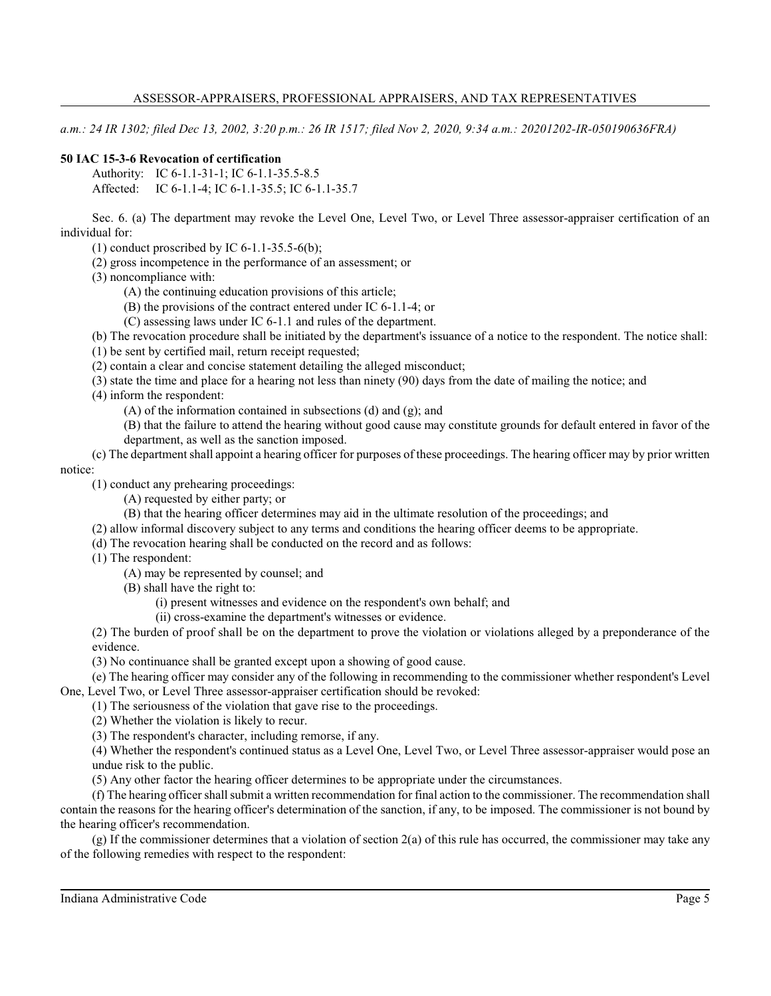*a.m.: 24 IR 1302; filed Dec 13, 2002, 3:20 p.m.: 26 IR 1517; filed Nov 2, 2020, 9:34 a.m.: 20201202-IR-050190636FRA)*

# **50 IAC 15-3-6 Revocation of certification**

Authority: IC 6-1.1-31-1; IC 6-1.1-35.5-8.5

Affected: IC 6-1.1-4; IC 6-1.1-35.5; IC 6-1.1-35.7

Sec. 6. (a) The department may revoke the Level One, Level Two, or Level Three assessor-appraiser certification of an individual for:

(1) conduct proscribed by IC  $6-1.1-35.5-6(b)$ ;

(2) gross incompetence in the performance of an assessment; or

(3) noncompliance with:

(A) the continuing education provisions of this article;

(B) the provisions of the contract entered under IC 6-1.1-4; or

(C) assessing laws under IC 6-1.1 and rules of the department.

(b) The revocation procedure shall be initiated by the department's issuance of a notice to the respondent. The notice shall:

(1) be sent by certified mail, return receipt requested;

(2) contain a clear and concise statement detailing the alleged misconduct;

(3) state the time and place for a hearing not less than ninety (90) days from the date of mailing the notice; and

(4) inform the respondent:

(A) of the information contained in subsections (d) and (g); and

(B) that the failure to attend the hearing without good cause may constitute grounds for default entered in favor of the department, as well as the sanction imposed.

(c) The department shall appoint a hearing officer for purposes of these proceedings. The hearing officer may by prior written notice:

(1) conduct any prehearing proceedings:

(A) requested by either party; or

- (B) that the hearing officer determines may aid in the ultimate resolution of the proceedings; and
- (2) allow informal discovery subject to any terms and conditions the hearing officer deems to be appropriate.

(d) The revocation hearing shall be conducted on the record and as follows:

(1) The respondent:

(A) may be represented by counsel; and

(B) shall have the right to:

(i) present witnesses and evidence on the respondent's own behalf; and

(ii) cross-examine the department's witnesses or evidence.

(2) The burden of proof shall be on the department to prove the violation or violations alleged by a preponderance of the evidence.

(3) No continuance shall be granted except upon a showing of good cause.

(e) The hearing officer may consider any of the following in recommending to the commissioner whether respondent's Level One, Level Two, or Level Three assessor-appraiser certification should be revoked:

(1) The seriousness of the violation that gave rise to the proceedings.

(2) Whether the violation is likely to recur.

(3) The respondent's character, including remorse, if any.

(4) Whether the respondent's continued status as a Level One, Level Two, or Level Three assessor-appraiser would pose an undue risk to the public.

(5) Any other factor the hearing officer determines to be appropriate under the circumstances.

(f) The hearing officer shall submit a written recommendation for final action to the commissioner. The recommendation shall contain the reasons for the hearing officer's determination of the sanction, if any, to be imposed. The commissioner is not bound by the hearing officer's recommendation.

(g) If the commissioner determines that a violation of section 2(a) of this rule has occurred, the commissioner may take any of the following remedies with respect to the respondent: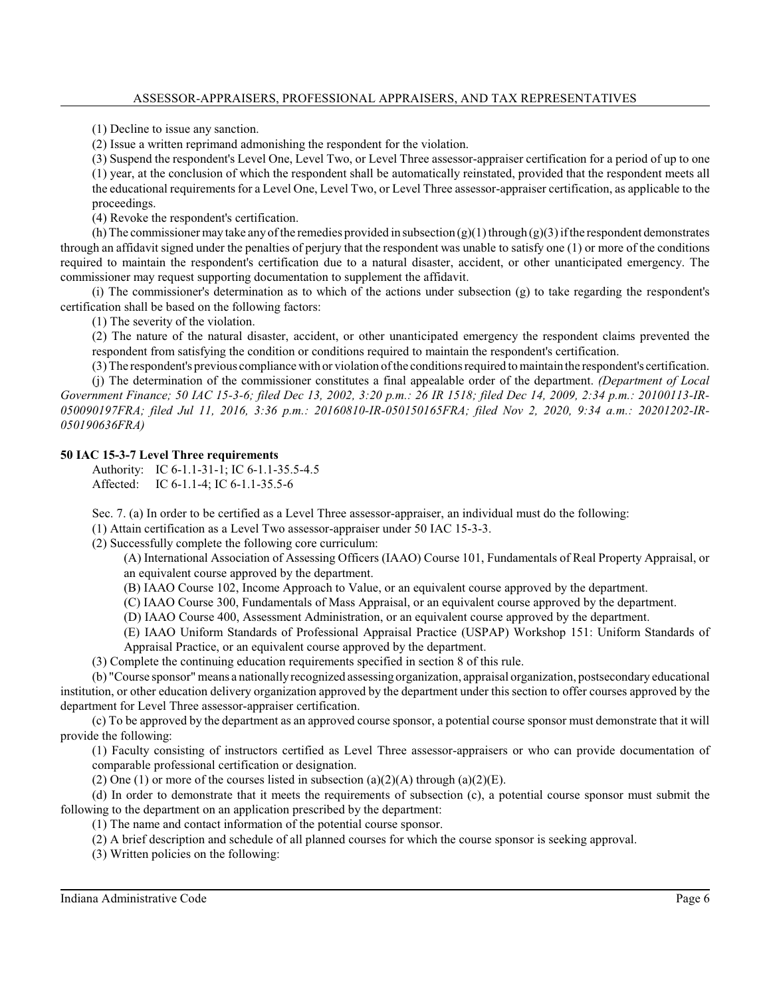(1) Decline to issue any sanction.

(2) Issue a written reprimand admonishing the respondent for the violation.

(3) Suspend the respondent's Level One, Level Two, or Level Three assessor-appraiser certification for a period of up to one (1) year, at the conclusion of which the respondent shall be automatically reinstated, provided that the respondent meets all the educational requirements for a Level One, Level Two, or Level Three assessor-appraiser certification, as applicable to the proceedings.

(4) Revoke the respondent's certification.

(h) The commissioner may take any of the remedies provided in subsection  $(g)(1)$  through  $(g)(3)$  if the respondent demonstrates through an affidavit signed under the penalties of perjury that the respondent was unable to satisfy one (1) or more of the conditions required to maintain the respondent's certification due to a natural disaster, accident, or other unanticipated emergency. The commissioner may request supporting documentation to supplement the affidavit.

(i) The commissioner's determination as to which of the actions under subsection (g) to take regarding the respondent's certification shall be based on the following factors:

(1) The severity of the violation.

(2) The nature of the natural disaster, accident, or other unanticipated emergency the respondent claims prevented the respondent from satisfying the condition or conditions required to maintain the respondent's certification.

(3) The respondent's previous compliance with or violation of the conditions required to maintain the respondent's certification. (j) The determination of the commissioner constitutes a final appealable order of the department. *(Department of Local Government Finance; 50 IAC 15-3-6; filed Dec 13, 2002, 3:20 p.m.: 26 IR 1518; filed Dec 14, 2009, 2:34 p.m.: 20100113-IR-050090197FRA; filed Jul 11, 2016, 3:36 p.m.: 20160810-IR-050150165FRA; filed Nov 2, 2020, 9:34 a.m.: 20201202-IR-050190636FRA)*

#### **50 IAC 15-3-7 Level Three requirements**

Authority: IC 6-1.1-31-1; IC 6-1.1-35.5-4.5 Affected: IC 6-1.1-4; IC 6-1.1-35.5-6

Sec. 7. (a) In order to be certified as a Level Three assessor-appraiser, an individual must do the following:

(1) Attain certification as a Level Two assessor-appraiser under 50 IAC 15-3-3.

(2) Successfully complete the following core curriculum:

(A) International Association of Assessing Officers (IAAO) Course 101, Fundamentals of Real Property Appraisal, or an equivalent course approved by the department.

- (B) IAAO Course 102, Income Approach to Value, or an equivalent course approved by the department.
- (C) IAAO Course 300, Fundamentals of Mass Appraisal, or an equivalent course approved by the department.
- (D) IAAO Course 400, Assessment Administration, or an equivalent course approved by the department.

(E) IAAO Uniform Standards of Professional Appraisal Practice (USPAP) Workshop 151: Uniform Standards of Appraisal Practice, or an equivalent course approved by the department.

(3) Complete the continuing education requirements specified in section 8 of this rule.

(b) "Course sponsor" means a nationallyrecognized assessing organization, appraisal organization, postsecondary educational institution, or other education delivery organization approved by the department under thissection to offer courses approved by the department for Level Three assessor-appraiser certification.

(c) To be approved by the department as an approved course sponsor, a potential course sponsor must demonstrate that it will provide the following:

(1) Faculty consisting of instructors certified as Level Three assessor-appraisers or who can provide documentation of comparable professional certification or designation.

(2) One (1) or more of the courses listed in subsection (a)(2)(A) through (a)(2)(E).

(d) In order to demonstrate that it meets the requirements of subsection (c), a potential course sponsor must submit the following to the department on an application prescribed by the department:

(1) The name and contact information of the potential course sponsor.

(2) A brief description and schedule of all planned courses for which the course sponsor is seeking approval.

(3) Written policies on the following: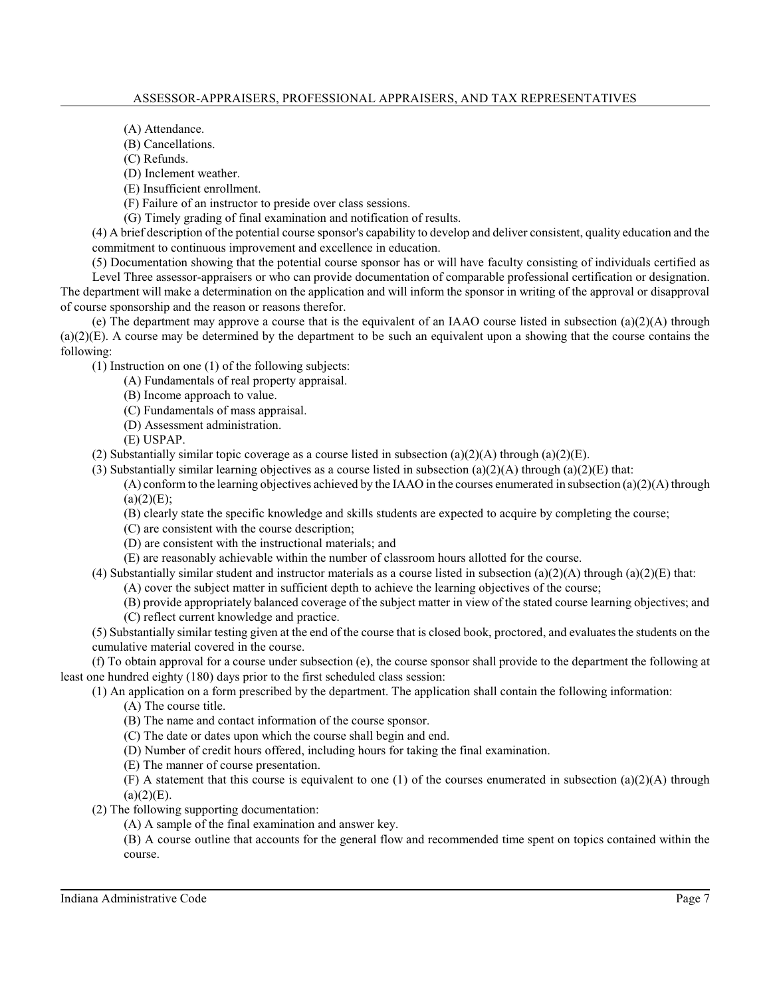(A) Attendance.

(B) Cancellations.

(C) Refunds.

(D) Inclement weather.

(E) Insufficient enrollment.

(F) Failure of an instructor to preside over class sessions.

(G) Timely grading of final examination and notification of results.

(4) A brief description of the potential course sponsor's capability to develop and deliver consistent, quality education and the commitment to continuous improvement and excellence in education.

(5) Documentation showing that the potential course sponsor has or will have faculty consisting of individuals certified as Level Three assessor-appraisers or who can provide documentation of comparable professional certification or designation. The department will make a determination on the application and will inform the sponsor in writing of the approval or disapproval of course sponsorship and the reason or reasons therefor.

(e) The department may approve a course that is the equivalent of an IAAO course listed in subsection (a)(2)(A) through  $(a)(2)(E)$ . A course may be determined by the department to be such an equivalent upon a showing that the course contains the following:

(1) Instruction on one (1) of the following subjects:

(A) Fundamentals of real property appraisal.

(B) Income approach to value.

(C) Fundamentals of mass appraisal.

(D) Assessment administration.

(E) USPAP.

(2) Substantially similar topic coverage as a course listed in subsection (a)(2)(A) through (a)(2)(E).

(3) Substantially similar learning objectives as a course listed in subsection (a)(2)(A) through (a)(2)(E) that:

 $(A)$  conform to the learning objectives achieved by the IAAO in the courses enumerated in subsection (a)(2)(A) through  $(a)(2)(E)$ ;

(B) clearly state the specific knowledge and skills students are expected to acquire by completing the course;

(C) are consistent with the course description;

(D) are consistent with the instructional materials; and

(E) are reasonably achievable within the number of classroom hours allotted for the course.

(4) Substantially similar student and instructor materials as a course listed in subsection (a)(2)(A) through (a)(2)(E) that:

(A) cover the subject matter in sufficient depth to achieve the learning objectives of the course;

(B) provide appropriately balanced coverage of the subject matter in view of the stated course learning objectives; and

(C) reflect current knowledge and practice.

(5) Substantially similar testing given at the end of the course that is closed book, proctored, and evaluatesthe students on the cumulative material covered in the course.

(f) To obtain approval for a course under subsection (e), the course sponsor shall provide to the department the following at least one hundred eighty (180) days prior to the first scheduled class session:

(1) An application on a form prescribed by the department. The application shall contain the following information:

(A) The course title.

(B) The name and contact information of the course sponsor.

(C) The date or dates upon which the course shall begin and end.

(D) Number of credit hours offered, including hours for taking the final examination.

(E) The manner of course presentation.

(F) A statement that this course is equivalent to one (1) of the courses enumerated in subsection (a)(2)(A) through  $(a)(2)(E)$ .

(2) The following supporting documentation:

(A) A sample of the final examination and answer key.

(B) A course outline that accounts for the general flow and recommended time spent on topics contained within the course.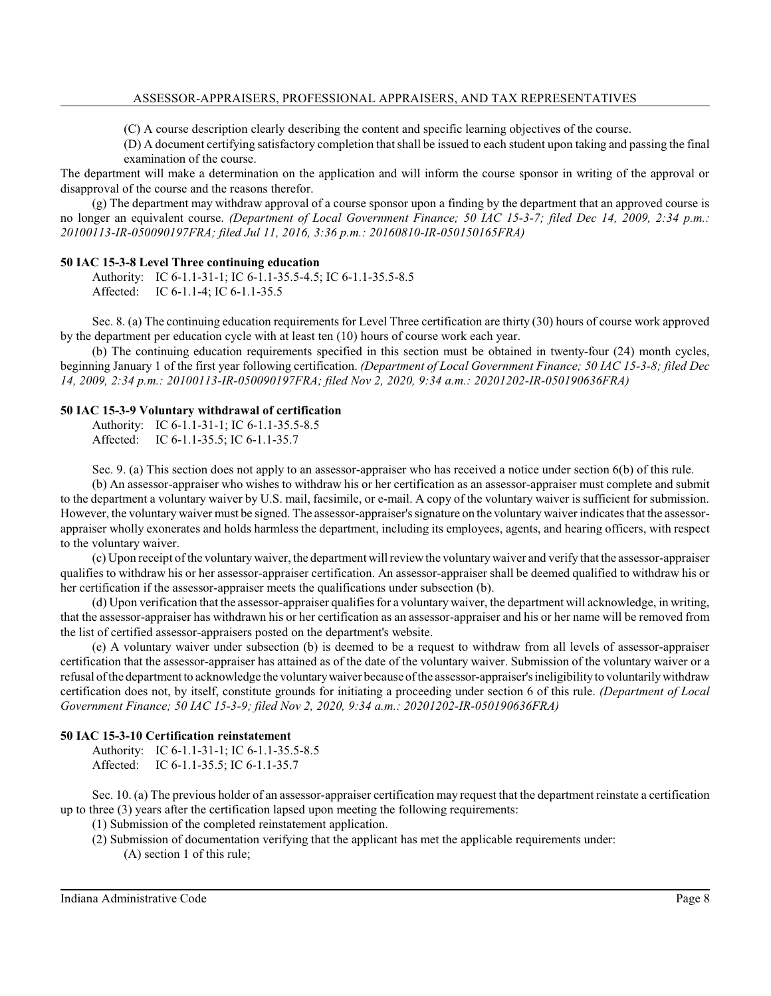(C) A course description clearly describing the content and specific learning objectives of the course.

(D) A document certifying satisfactory completion that shall be issued to each student upon taking and passing the final examination of the course.

The department will make a determination on the application and will inform the course sponsor in writing of the approval or disapproval of the course and the reasons therefor.

(g) The department may withdraw approval of a course sponsor upon a finding by the department that an approved course is no longer an equivalent course. *(Department of Local Government Finance; 50 IAC 15-3-7; filed Dec 14, 2009, 2:34 p.m.: 20100113-IR-050090197FRA; filed Jul 11, 2016, 3:36 p.m.: 20160810-IR-050150165FRA)*

#### **50 IAC 15-3-8 Level Three continuing education**

Authority: IC 6-1.1-31-1; IC 6-1.1-35.5-4.5; IC 6-1.1-35.5-8.5 Affected: IC 6-1.1-4; IC 6-1.1-35.5

Sec. 8. (a) The continuing education requirements for Level Three certification are thirty (30) hours of course work approved by the department per education cycle with at least ten (10) hours of course work each year.

(b) The continuing education requirements specified in this section must be obtained in twenty-four (24) month cycles, beginning January 1 of the first year following certification. *(Department of Local Government Finance; 50 IAC 15-3-8; filed Dec 14, 2009, 2:34 p.m.: 20100113-IR-050090197FRA; filed Nov 2, 2020, 9:34 a.m.: 20201202-IR-050190636FRA)*

#### **50 IAC 15-3-9 Voluntary withdrawal of certification**

Authority: IC 6-1.1-31-1; IC 6-1.1-35.5-8.5 Affected: IC 6-1.1-35.5; IC 6-1.1-35.7

Sec. 9. (a) This section does not apply to an assessor-appraiser who has received a notice under section 6(b) of this rule.

(b) An assessor-appraiser who wishes to withdraw his or her certification as an assessor-appraiser must complete and submit to the department a voluntary waiver by U.S. mail, facsimile, or e-mail. A copy of the voluntary waiver is sufficient for submission. However, the voluntary waiver must be signed. The assessor-appraiser'ssignature on the voluntary waiver indicates that the assessorappraiser wholly exonerates and holds harmless the department, including its employees, agents, and hearing officers, with respect to the voluntary waiver.

(c) Upon receipt of the voluntarywaiver, the department will reviewthe voluntarywaiver and verify that the assessor-appraiser qualifies to withdraw his or her assessor-appraiser certification. An assessor-appraiser shall be deemed qualified to withdraw his or her certification if the assessor-appraiser meets the qualifications under subsection (b).

(d) Upon verification that the assessor-appraiser qualifiesfor a voluntary waiver, the department will acknowledge, in writing, that the assessor-appraiser has withdrawn his or her certification as an assessor-appraiser and his or her name will be removed from the list of certified assessor-appraisers posted on the department's website.

(e) A voluntary waiver under subsection (b) is deemed to be a request to withdraw from all levels of assessor-appraiser certification that the assessor-appraiser has attained as of the date of the voluntary waiver. Submission of the voluntary waiver or a refusal of the department to acknowledge the voluntarywaiver because of the assessor-appraiser'sineligibility to voluntarilywithdraw certification does not, by itself, constitute grounds for initiating a proceeding under section 6 of this rule. *(Department of Local Government Finance; 50 IAC 15-3-9; filed Nov 2, 2020, 9:34 a.m.: 20201202-IR-050190636FRA)*

#### **50 IAC 15-3-10 Certification reinstatement**

Authority: IC 6-1.1-31-1; IC 6-1.1-35.5-8.5 Affected: IC 6-1.1-35.5; IC 6-1.1-35.7

Sec. 10. (a) The previous holder of an assessor-appraiser certification may request that the department reinstate a certification up to three (3) years after the certification lapsed upon meeting the following requirements:

(1) Submission of the completed reinstatement application.

(2) Submission of documentation verifying that the applicant has met the applicable requirements under:

(A) section 1 of this rule;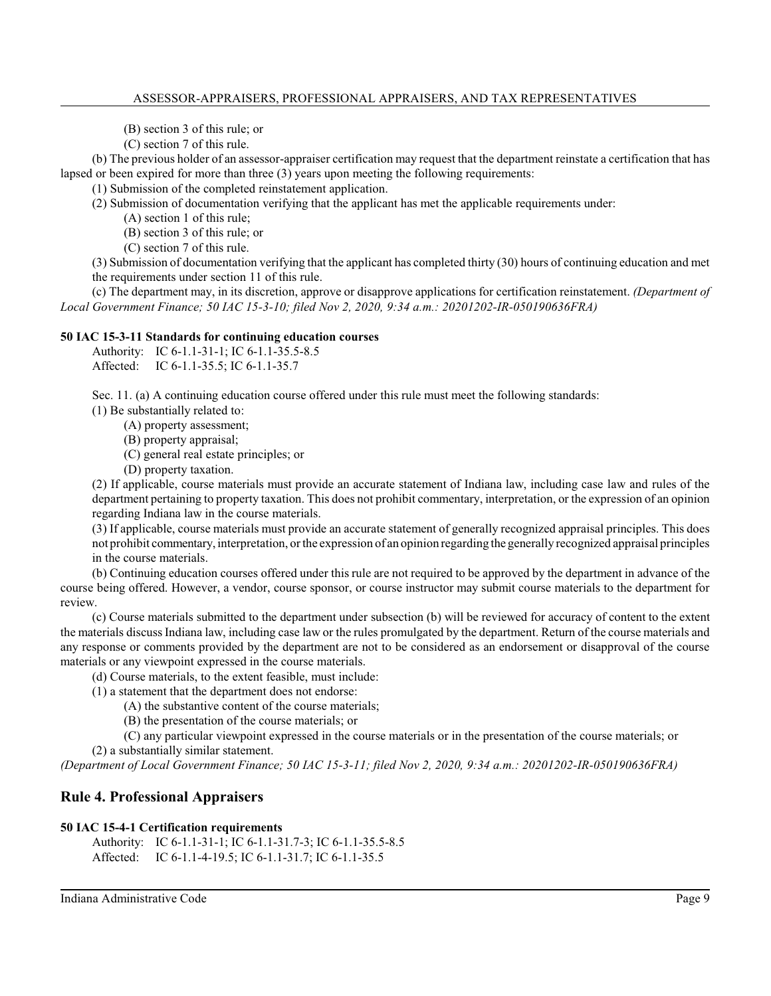(B) section 3 of this rule; or

(C) section 7 of this rule.

(b) The previous holder of an assessor-appraiser certification may request that the department reinstate a certification that has lapsed or been expired for more than three (3) years upon meeting the following requirements:

(1) Submission of the completed reinstatement application.

(2) Submission of documentation verifying that the applicant has met the applicable requirements under:

(A) section 1 of this rule;

(B) section 3 of this rule; or

(C) section 7 of this rule.

(3) Submission of documentation verifying that the applicant has completed thirty (30) hours of continuing education and met the requirements under section 11 of this rule.

(c) The department may, in its discretion, approve or disapprove applications for certification reinstatement. *(Department of Local Government Finance; 50 IAC 15-3-10; filed Nov 2, 2020, 9:34 a.m.: 20201202-IR-050190636FRA)*

## **50 IAC 15-3-11 Standards for continuing education courses**

Authority: IC 6-1.1-31-1; IC 6-1.1-35.5-8.5 Affected: IC 6-1.1-35.5; IC 6-1.1-35.7

Sec. 11. (a) A continuing education course offered under this rule must meet the following standards:

(1) Be substantially related to:

(A) property assessment;

(B) property appraisal;

(C) general real estate principles; or

(D) property taxation.

(2) If applicable, course materials must provide an accurate statement of Indiana law, including case law and rules of the department pertaining to property taxation. This does not prohibit commentary, interpretation, or the expression of an opinion regarding Indiana law in the course materials.

(3) If applicable, course materials must provide an accurate statement of generally recognized appraisal principles. This does not prohibit commentary, interpretation, orthe expression of an opinion regarding the generally recognized appraisal principles in the course materials.

(b) Continuing education courses offered under this rule are not required to be approved by the department in advance of the course being offered. However, a vendor, course sponsor, or course instructor may submit course materials to the department for review.

(c) Course materials submitted to the department under subsection (b) will be reviewed for accuracy of content to the extent the materials discuss Indiana law, including case law or the rules promulgated by the department. Return of the course materials and any response or comments provided by the department are not to be considered as an endorsement or disapproval of the course materials or any viewpoint expressed in the course materials.

(d) Course materials, to the extent feasible, must include:

- (1) a statement that the department does not endorse:
	- (A) the substantive content of the course materials;
	- (B) the presentation of the course materials; or

(C) any particular viewpoint expressed in the course materials or in the presentation of the course materials; or (2) a substantially similar statement.

*(Department of Local Government Finance; 50 IAC 15-3-11; filed Nov 2, 2020, 9:34 a.m.: 20201202-IR-050190636FRA)*

# **Rule 4. Professional Appraisers**

#### **50 IAC 15-4-1 Certification requirements**

Authority: IC 6-1.1-31-1; IC 6-1.1-31.7-3; IC 6-1.1-35.5-8.5 Affected: IC 6-1.1-4-19.5; IC 6-1.1-31.7; IC 6-1.1-35.5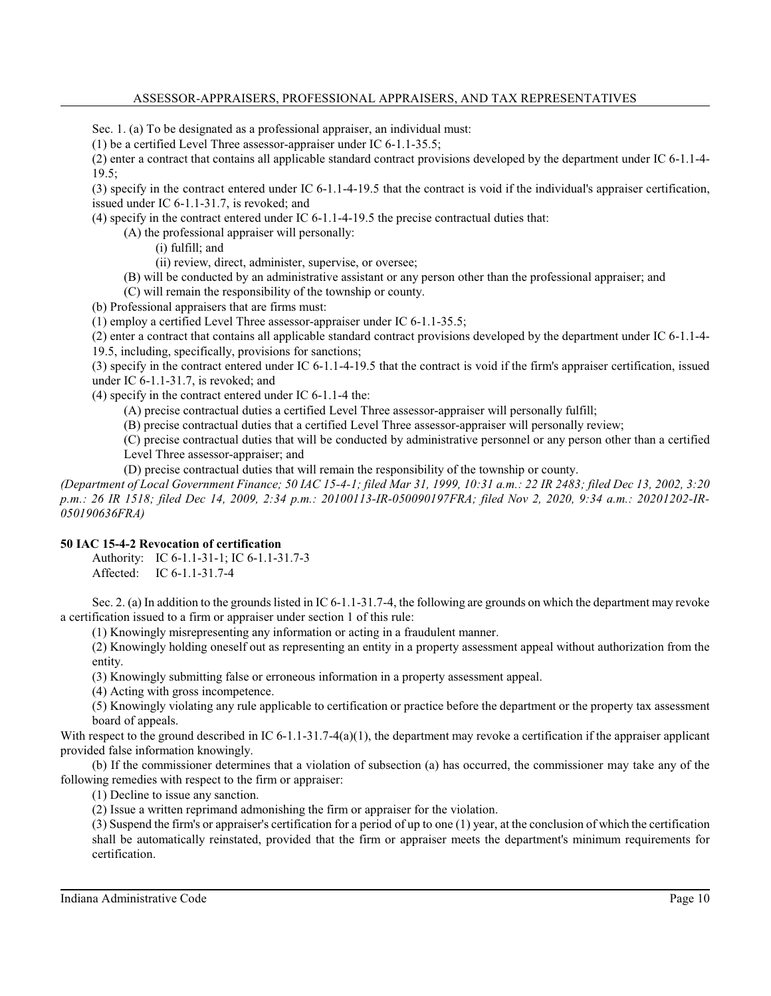Sec. 1. (a) To be designated as a professional appraiser, an individual must:

(1) be a certified Level Three assessor-appraiser under IC 6-1.1-35.5;

(2) enter a contract that contains all applicable standard contract provisions developed by the department under IC 6-1.1-4-  $19.5$ ;

(3) specify in the contract entered under IC 6-1.1-4-19.5 that the contract is void if the individual's appraiser certification, issued under IC 6-1.1-31.7, is revoked; and

(4) specify in the contract entered under IC 6-1.1-4-19.5 the precise contractual duties that:

(A) the professional appraiser will personally:

(i) fulfill; and

(ii) review, direct, administer, supervise, or oversee;

(B) will be conducted by an administrative assistant or any person other than the professional appraiser; and

(C) will remain the responsibility of the township or county.

(b) Professional appraisers that are firms must:

(1) employ a certified Level Three assessor-appraiser under IC 6-1.1-35.5;

(2) enter a contract that contains all applicable standard contract provisions developed by the department under IC 6-1.1-4- 19.5, including, specifically, provisions for sanctions;

(3) specify in the contract entered under IC 6-1.1-4-19.5 that the contract is void if the firm's appraiser certification, issued under IC 6-1.1-31.7, is revoked; and

(4) specify in the contract entered under IC 6-1.1-4 the:

(A) precise contractual duties a certified Level Three assessor-appraiser will personally fulfill;

(B) precise contractual duties that a certified Level Three assessor-appraiser will personally review;

(C) precise contractual duties that will be conducted by administrative personnel or any person other than a certified Level Three assessor-appraiser; and

(D) precise contractual duties that will remain the responsibility of the township or county.

*(Department of Local Government Finance; 50 IAC 15-4-1; filed Mar 31, 1999, 10:31 a.m.: 22 IR 2483; filed Dec 13, 2002, 3:20 p.m.: 26 IR 1518; filed Dec 14, 2009, 2:34 p.m.: 20100113-IR-050090197FRA; filed Nov 2, 2020, 9:34 a.m.: 20201202-IR-050190636FRA)*

#### **50 IAC 15-4-2 Revocation of certification**

Authority: IC 6-1.1-31-1; IC 6-1.1-31.7-3 Affected: IC 6-1.1-31.7-4

Sec. 2. (a) In addition to the grounds listed in IC 6-1.1-31.7-4, the following are grounds on which the department may revoke a certification issued to a firm or appraiser under section 1 of this rule:

(1) Knowingly misrepresenting any information or acting in a fraudulent manner.

(2) Knowingly holding oneself out as representing an entity in a property assessment appeal without authorization from the entity.

(3) Knowingly submitting false or erroneous information in a property assessment appeal.

(4) Acting with gross incompetence.

(5) Knowingly violating any rule applicable to certification or practice before the department or the property tax assessment board of appeals.

With respect to the ground described in IC  $6-1.1-31.7-4(a)(1)$ , the department may revoke a certification if the appraiser applicant provided false information knowingly.

(b) If the commissioner determines that a violation of subsection (a) has occurred, the commissioner may take any of the following remedies with respect to the firm or appraiser:

(1) Decline to issue any sanction.

(2) Issue a written reprimand admonishing the firm or appraiser for the violation.

(3) Suspend the firm's or appraiser's certification for a period of up to one (1) year, at the conclusion of which the certification shall be automatically reinstated, provided that the firm or appraiser meets the department's minimum requirements for certification.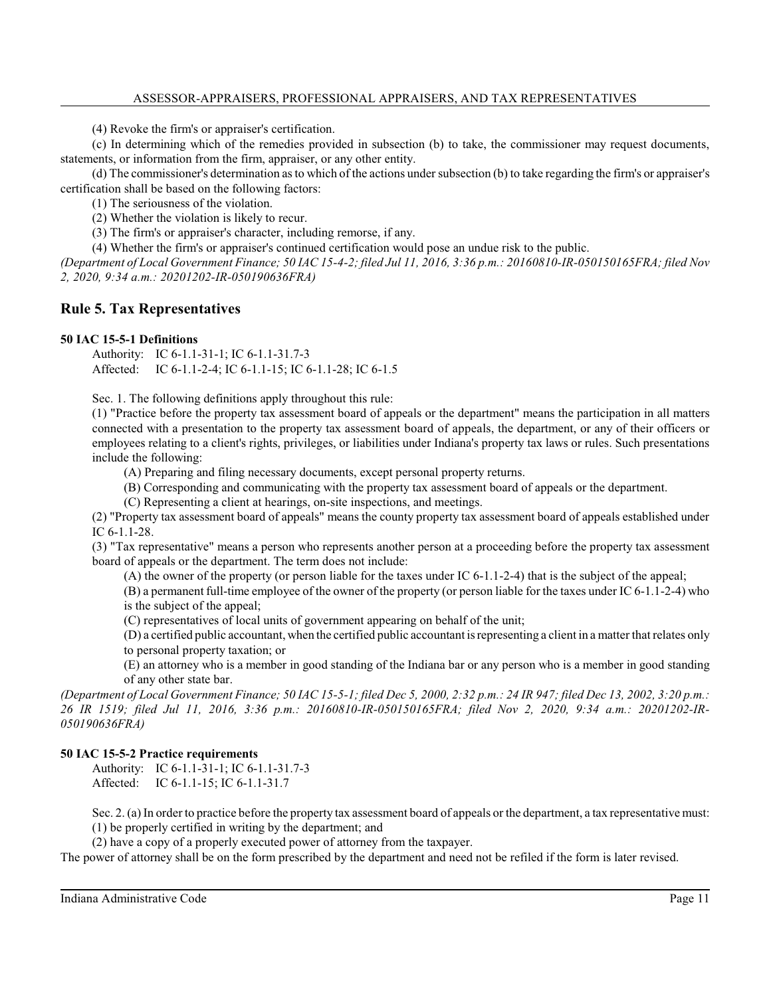(4) Revoke the firm's or appraiser's certification.

(c) In determining which of the remedies provided in subsection (b) to take, the commissioner may request documents, statements, or information from the firm, appraiser, or any other entity.

(d) The commissioner's determination as to which of the actions undersubsection (b) to take regarding the firm's or appraiser's certification shall be based on the following factors:

(1) The seriousness of the violation.

(2) Whether the violation is likely to recur.

(3) The firm's or appraiser's character, including remorse, if any.

(4) Whether the firm's or appraiser's continued certification would pose an undue risk to the public.

*(Department of Local Government Finance; 50 IAC 15-4-2; filed Jul 11, 2016, 3:36 p.m.: 20160810-IR-050150165FRA; filed Nov 2, 2020, 9:34 a.m.: 20201202-IR-050190636FRA)*

# **Rule 5. Tax Representatives**

#### **50 IAC 15-5-1 Definitions**

Authority: IC 6-1.1-31-1; IC 6-1.1-31.7-3 Affected: IC 6-1.1-2-4; IC 6-1.1-15; IC 6-1.1-28; IC 6-1.5

Sec. 1. The following definitions apply throughout this rule:

(1) "Practice before the property tax assessment board of appeals or the department" means the participation in all matters connected with a presentation to the property tax assessment board of appeals, the department, or any of their officers or employees relating to a client's rights, privileges, or liabilities under Indiana's property tax laws or rules. Such presentations include the following:

(A) Preparing and filing necessary documents, except personal property returns.

(B) Corresponding and communicating with the property tax assessment board of appeals or the department.

(C) Representing a client at hearings, on-site inspections, and meetings.

(2) "Property tax assessment board of appeals" means the county property tax assessment board of appeals established under IC 6-1.1-28.

(3) "Tax representative" means a person who represents another person at a proceeding before the property tax assessment board of appeals or the department. The term does not include:

(A) the owner of the property (or person liable for the taxes under IC 6-1.1-2-4) that is the subject of the appeal;

(B) a permanent full-time employee of the owner of the property (or person liable for the taxes under IC 6-1.1-2-4) who is the subject of the appeal;

(C) representatives of local units of government appearing on behalf of the unit;

(D) a certified public accountant, when the certified public accountant is representing a client in a matter that relates only to personal property taxation; or

(E) an attorney who is a member in good standing of the Indiana bar or any person who is a member in good standing of any other state bar.

*(Department of Local Government Finance; 50 IAC 15-5-1; filed Dec 5, 2000, 2:32 p.m.: 24 IR 947; filed Dec 13, 2002, 3:20 p.m.: 26 IR 1519; filed Jul 11, 2016, 3:36 p.m.: 20160810-IR-050150165FRA; filed Nov 2, 2020, 9:34 a.m.: 20201202-IR-050190636FRA)*

## **50 IAC 15-5-2 Practice requirements**

Authority: IC 6-1.1-31-1; IC 6-1.1-31.7-3 Affected: IC 6-1.1-15; IC 6-1.1-31.7

Sec. 2. (a) In order to practice before the property tax assessment board of appeals or the department, a tax representative must: (1) be properly certified in writing by the department; and

(2) have a copy of a properly executed power of attorney from the taxpayer.

The power of attorney shall be on the form prescribed by the department and need not be refiled if the form is later revised.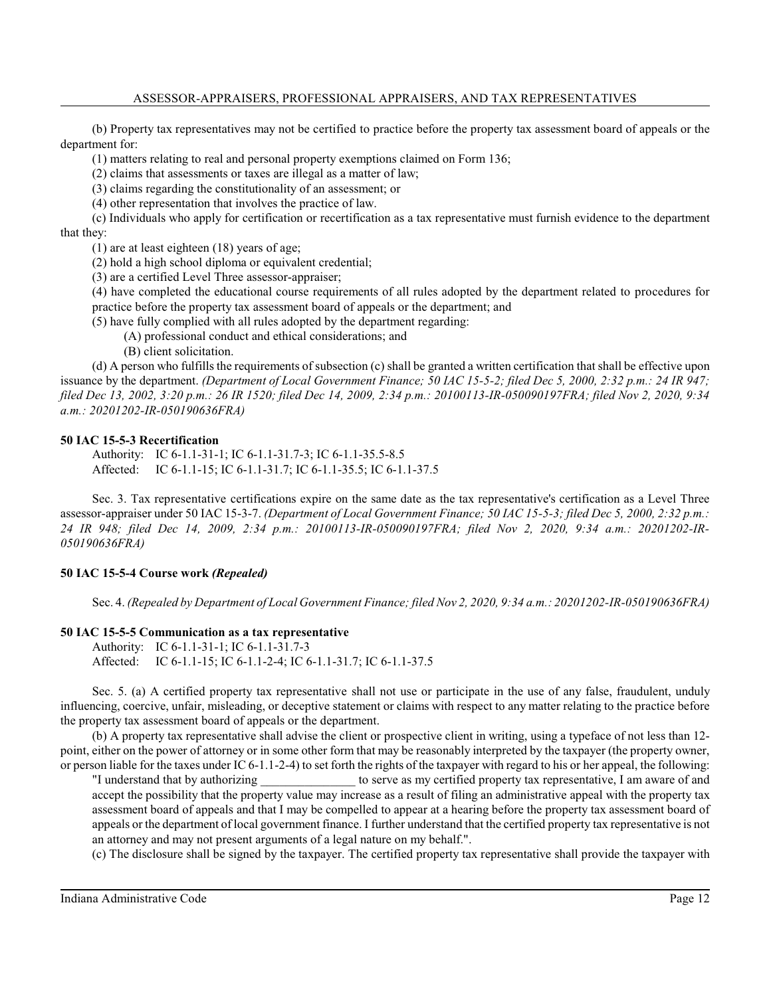(b) Property tax representatives may not be certified to practice before the property tax assessment board of appeals or the department for:

(1) matters relating to real and personal property exemptions claimed on Form 136;

(2) claims that assessments or taxes are illegal as a matter of law;

(3) claims regarding the constitutionality of an assessment; or

(4) other representation that involves the practice of law.

(c) Individuals who apply for certification or recertification as a tax representative must furnish evidence to the department that they:

(1) are at least eighteen (18) years of age;

(2) hold a high school diploma or equivalent credential;

(3) are a certified Level Three assessor-appraiser;

(4) have completed the educational course requirements of all rules adopted by the department related to procedures for practice before the property tax assessment board of appeals or the department; and

(5) have fully complied with all rules adopted by the department regarding:

(A) professional conduct and ethical considerations; and

(B) client solicitation.

(d) A person who fulfills the requirements of subsection (c) shall be granted a written certification that shall be effective upon issuance by the department. *(Department of Local Government Finance; 50 IAC 15-5-2; filed Dec 5, 2000, 2:32 p.m.: 24 IR 947; filed Dec 13, 2002, 3:20 p.m.: 26 IR 1520; filed Dec 14, 2009, 2:34 p.m.: 20100113-IR-050090197FRA; filed Nov 2, 2020, 9:34 a.m.: 20201202-IR-050190636FRA)*

## **50 IAC 15-5-3 Recertification**

Authority: IC 6-1.1-31-1; IC 6-1.1-31.7-3; IC 6-1.1-35.5-8.5 Affected: IC 6-1.1-15; IC 6-1.1-31.7; IC 6-1.1-35.5; IC 6-1.1-37.5

Sec. 3. Tax representative certifications expire on the same date as the tax representative's certification as a Level Three assessor-appraiser under 50 IAC 15-3-7. *(Department of Local Government Finance; 50 IAC 15-5-3; filed Dec 5, 2000, 2:32 p.m.: 24 IR 948; filed Dec 14, 2009, 2:34 p.m.: 20100113-IR-050090197FRA; filed Nov 2, 2020, 9:34 a.m.: 20201202-IR-050190636FRA)*

# **50 IAC 15-5-4 Course work** *(Repealed)*

Sec. 4. *(Repealed by Department of Local Government Finance; filed Nov 2, 2020, 9:34 a.m.: 20201202-IR-050190636FRA)*

# **50 IAC 15-5-5 Communication as a tax representative**

Authority: IC 6-1.1-31-1; IC 6-1.1-31.7-3 Affected: IC 6-1.1-15; IC 6-1.1-2-4; IC 6-1.1-31.7; IC 6-1.1-37.5

Sec. 5. (a) A certified property tax representative shall not use or participate in the use of any false, fraudulent, unduly influencing, coercive, unfair, misleading, or deceptive statement or claims with respect to any matter relating to the practice before the property tax assessment board of appeals or the department.

(b) A property tax representative shall advise the client or prospective client in writing, using a typeface of not less than 12 point, either on the power of attorney or in some other form that may be reasonably interpreted by the taxpayer (the property owner, or person liable for the taxes under IC 6-1.1-2-4) to set forth the rights of the taxpayer with regard to his or her appeal, the following:

"I understand that by authorizing \_\_\_\_\_\_\_\_\_\_\_\_\_\_\_ to serve as my certified property tax representative, I am aware of and accept the possibility that the property value may increase as a result of filing an administrative appeal with the property tax assessment board of appeals and that I may be compelled to appear at a hearing before the property tax assessment board of appeals or the department of local government finance. I further understand that the certified property tax representative is not an attorney and may not present arguments of a legal nature on my behalf.".

(c) The disclosure shall be signed by the taxpayer. The certified property tax representative shall provide the taxpayer with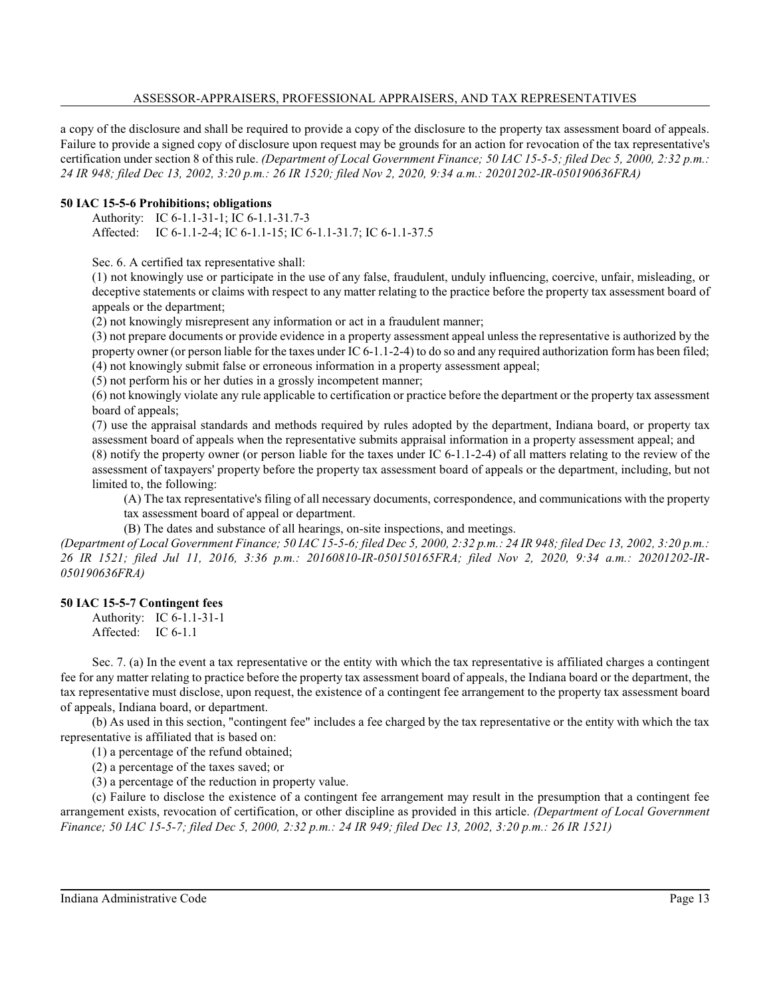a copy of the disclosure and shall be required to provide a copy of the disclosure to the property tax assessment board of appeals. Failure to provide a signed copy of disclosure upon request may be grounds for an action for revocation of the tax representative's certification under section 8 of this rule. *(Department of Local Government Finance; 50 IAC 15-5-5; filed Dec 5, 2000, 2:32 p.m.: 24 IR 948; filed Dec 13, 2002, 3:20 p.m.: 26 IR 1520; filed Nov 2, 2020, 9:34 a.m.: 20201202-IR-050190636FRA)*

#### **50 IAC 15-5-6 Prohibitions; obligations**

Authority: IC 6-1.1-31-1; IC 6-1.1-31.7-3 Affected: IC 6-1.1-2-4; IC 6-1.1-15; IC 6-1.1-31.7; IC 6-1.1-37.5

Sec. 6. A certified tax representative shall:

(1) not knowingly use or participate in the use of any false, fraudulent, unduly influencing, coercive, unfair, misleading, or deceptive statements or claims with respect to any matter relating to the practice before the property tax assessment board of appeals or the department;

(2) not knowingly misrepresent any information or act in a fraudulent manner;

(3) not prepare documents or provide evidence in a property assessment appeal unless the representative is authorized by the property owner (or person liable for the taxes under IC 6-1.1-2-4) to do so and any required authorization form has been filed; (4) not knowingly submit false or erroneous information in a property assessment appeal;

(5) not perform his or her duties in a grossly incompetent manner;

(6) not knowingly violate any rule applicable to certification or practice before the department or the property tax assessment board of appeals;

(7) use the appraisal standards and methods required by rules adopted by the department, Indiana board, or property tax assessment board of appeals when the representative submits appraisal information in a property assessment appeal; and

(8) notify the property owner (or person liable for the taxes under IC 6-1.1-2-4) of all matters relating to the review of the assessment of taxpayers' property before the property tax assessment board of appeals or the department, including, but not limited to, the following:

(A) The tax representative's filing of all necessary documents, correspondence, and communications with the property tax assessment board of appeal or department.

(B) The dates and substance of all hearings, on-site inspections, and meetings.

*(Department of Local Government Finance; 50 IAC 15-5-6; filed Dec 5, 2000, 2:32 p.m.: 24 IR 948; filed Dec 13, 2002, 3:20 p.m.: 26 IR 1521; filed Jul 11, 2016, 3:36 p.m.: 20160810-IR-050150165FRA; filed Nov 2, 2020, 9:34 a.m.: 20201202-IR-050190636FRA)*

#### **50 IAC 15-5-7 Contingent fees**

Authority: IC 6-1.1-31-1

Affected: IC 6-1.1

Sec. 7. (a) In the event a tax representative or the entity with which the tax representative is affiliated charges a contingent fee for any matter relating to practice before the property tax assessment board of appeals, the Indiana board or the department, the tax representative must disclose, upon request, the existence of a contingent fee arrangement to the property tax assessment board of appeals, Indiana board, or department.

(b) As used in this section, "contingent fee" includes a fee charged by the tax representative or the entity with which the tax representative is affiliated that is based on:

(1) a percentage of the refund obtained;

(2) a percentage of the taxes saved; or

(3) a percentage of the reduction in property value.

(c) Failure to disclose the existence of a contingent fee arrangement may result in the presumption that a contingent fee arrangement exists, revocation of certification, or other discipline as provided in this article. *(Department of Local Government Finance; 50 IAC 15-5-7; filed Dec 5, 2000, 2:32 p.m.: 24 IR 949; filed Dec 13, 2002, 3:20 p.m.: 26 IR 1521)*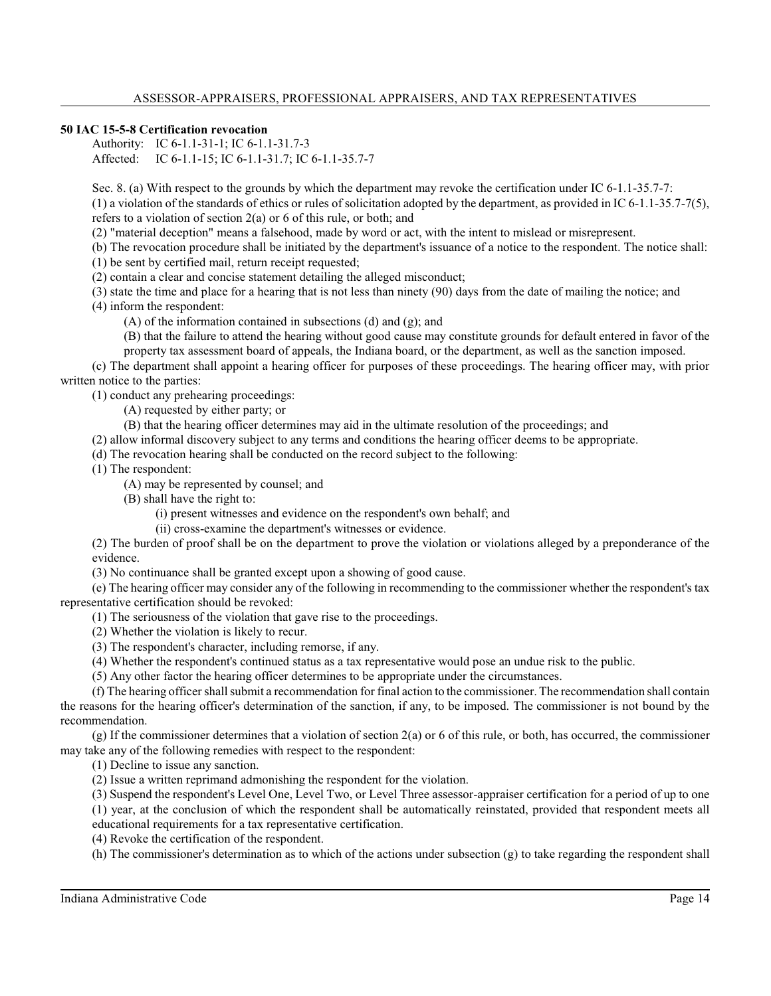#### **50 IAC 15-5-8 Certification revocation**

Authority: IC 6-1.1-31-1; IC 6-1.1-31.7-3 Affected: IC 6-1.1-15; IC 6-1.1-31.7; IC 6-1.1-35.7-7

Sec. 8. (a) With respect to the grounds by which the department may revoke the certification under IC 6-1.1-35.7-7: (1) a violation of the standards of ethics or rules of solicitation adopted by the department, as provided in IC 6-1.1-35.7-7(5), refers to a violation of section 2(a) or 6 of this rule, or both; and

(2) "material deception" means a falsehood, made by word or act, with the intent to mislead or misrepresent.

(b) The revocation procedure shall be initiated by the department's issuance of a notice to the respondent. The notice shall:

(1) be sent by certified mail, return receipt requested;

(2) contain a clear and concise statement detailing the alleged misconduct;

(3) state the time and place for a hearing that is not less than ninety (90) days from the date of mailing the notice; and

(4) inform the respondent:

(A) of the information contained in subsections (d) and (g); and

(B) that the failure to attend the hearing without good cause may constitute grounds for default entered in favor of the

property tax assessment board of appeals, the Indiana board, or the department, as well as the sanction imposed.

(c) The department shall appoint a hearing officer for purposes of these proceedings. The hearing officer may, with prior written notice to the parties:

(1) conduct any prehearing proceedings:

(A) requested by either party; or

(B) that the hearing officer determines may aid in the ultimate resolution of the proceedings; and

(2) allow informal discovery subject to any terms and conditions the hearing officer deems to be appropriate.

(d) The revocation hearing shall be conducted on the record subject to the following:

(1) The respondent:

(A) may be represented by counsel; and

(B) shall have the right to:

(i) present witnesses and evidence on the respondent's own behalf; and

(ii) cross-examine the department's witnesses or evidence.

(2) The burden of proof shall be on the department to prove the violation or violations alleged by a preponderance of the evidence.

(3) No continuance shall be granted except upon a showing of good cause.

(e) The hearing officer may consider any of the following in recommending to the commissioner whether the respondent's tax representative certification should be revoked:

(1) The seriousness of the violation that gave rise to the proceedings.

(2) Whether the violation is likely to recur.

(3) The respondent's character, including remorse, if any.

(4) Whether the respondent's continued status as a tax representative would pose an undue risk to the public.

(5) Any other factor the hearing officer determines to be appropriate under the circumstances.

(f) The hearing officer shall submit a recommendation for final action to the commissioner. The recommendation shall contain the reasons for the hearing officer's determination of the sanction, if any, to be imposed. The commissioner is not bound by the recommendation.

 $(g)$  If the commissioner determines that a violation of section  $2(a)$  or 6 of this rule, or both, has occurred, the commissioner may take any of the following remedies with respect to the respondent:

(1) Decline to issue any sanction.

(2) Issue a written reprimand admonishing the respondent for the violation.

(3) Suspend the respondent's Level One, Level Two, or Level Three assessor-appraiser certification for a period of up to one (1) year, at the conclusion of which the respondent shall be automatically reinstated, provided that respondent meets all educational requirements for a tax representative certification.

(4) Revoke the certification of the respondent.

(h) The commissioner's determination as to which of the actions under subsection (g) to take regarding the respondent shall